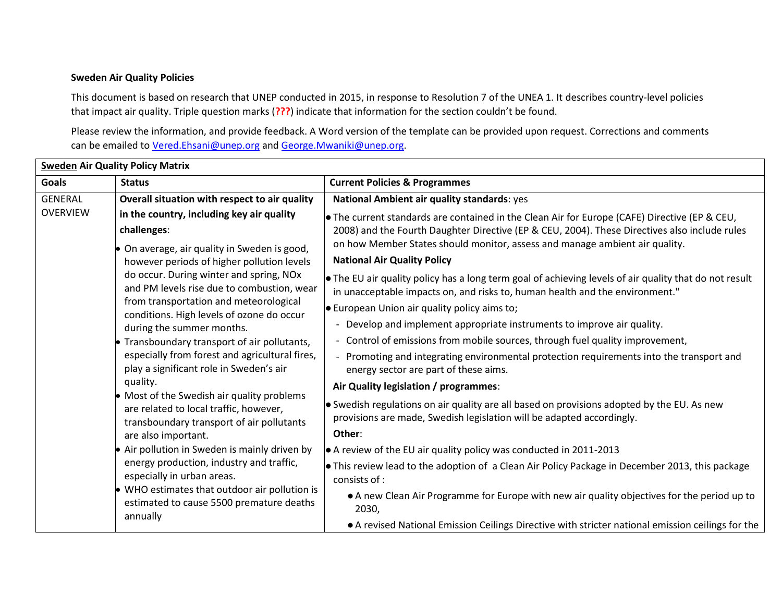## **Sweden Air Quality Policies**

This document is based on research that UNEP conducted in 2015, in response to Resolution 7 of the UNEA 1. It describes country-level policies that impact air quality. Triple question marks (**???**) indicate that information for the section couldn't be found.

Please review the information, and provide feedback. A Word version of the template can be provided upon request. Corrections and comments can be emailed to [Vered.Ehsani@unep.org](mailto:Vered.Ehsani@unep.org) and [George.Mwaniki@unep.org.](mailto:George.Mwaniki@unep.org)

| <b>Sweden Air Quality Policy Matrix</b> |                                                                                                                                                                                                                                                                                                                                                                                                                                                                                                                                                                                                                                                                                        |                                                                                                                                                                                                                                                                               |
|-----------------------------------------|----------------------------------------------------------------------------------------------------------------------------------------------------------------------------------------------------------------------------------------------------------------------------------------------------------------------------------------------------------------------------------------------------------------------------------------------------------------------------------------------------------------------------------------------------------------------------------------------------------------------------------------------------------------------------------------|-------------------------------------------------------------------------------------------------------------------------------------------------------------------------------------------------------------------------------------------------------------------------------|
| <b>Goals</b>                            | <b>Status</b>                                                                                                                                                                                                                                                                                                                                                                                                                                                                                                                                                                                                                                                                          | <b>Current Policies &amp; Programmes</b>                                                                                                                                                                                                                                      |
| <b>GENERAL</b>                          | Overall situation with respect to air quality                                                                                                                                                                                                                                                                                                                                                                                                                                                                                                                                                                                                                                          | National Ambient air quality standards: yes                                                                                                                                                                                                                                   |
| <b>OVERVIEW</b>                         | in the country, including key air quality<br>challenges:<br>On average, air quality in Sweden is good,<br>however periods of higher pollution levels<br>do occur. During winter and spring, NOx<br>and PM levels rise due to combustion, wear<br>from transportation and meteorological<br>conditions. High levels of ozone do occur<br>during the summer months.<br>• Transboundary transport of air pollutants,<br>especially from forest and agricultural fires,<br>play a significant role in Sweden's air<br>quality.<br>• Most of the Swedish air quality problems<br>are related to local traffic, however,<br>transboundary transport of air pollutants<br>are also important. | • The current standards are contained in the Clean Air for Europe (CAFE) Directive (EP & CEU,<br>2008) and the Fourth Daughter Directive (EP & CEU, 2004). These Directives also include rules<br>on how Member States should monitor, assess and manage ambient air quality. |
|                                         |                                                                                                                                                                                                                                                                                                                                                                                                                                                                                                                                                                                                                                                                                        | <b>National Air Quality Policy</b>                                                                                                                                                                                                                                            |
|                                         |                                                                                                                                                                                                                                                                                                                                                                                                                                                                                                                                                                                                                                                                                        | • The EU air quality policy has a long term goal of achieving levels of air quality that do not result<br>in unacceptable impacts on, and risks to, human health and the environment."                                                                                        |
|                                         |                                                                                                                                                                                                                                                                                                                                                                                                                                                                                                                                                                                                                                                                                        | $\bullet$ European Union air quality policy aims to;                                                                                                                                                                                                                          |
|                                         |                                                                                                                                                                                                                                                                                                                                                                                                                                                                                                                                                                                                                                                                                        | Develop and implement appropriate instruments to improve air quality.                                                                                                                                                                                                         |
|                                         |                                                                                                                                                                                                                                                                                                                                                                                                                                                                                                                                                                                                                                                                                        | - Control of emissions from mobile sources, through fuel quality improvement,                                                                                                                                                                                                 |
|                                         |                                                                                                                                                                                                                                                                                                                                                                                                                                                                                                                                                                                                                                                                                        | - Promoting and integrating environmental protection requirements into the transport and<br>energy sector are part of these aims.                                                                                                                                             |
|                                         |                                                                                                                                                                                                                                                                                                                                                                                                                                                                                                                                                                                                                                                                                        | Air Quality legislation / programmes:                                                                                                                                                                                                                                         |
|                                         |                                                                                                                                                                                                                                                                                                                                                                                                                                                                                                                                                                                                                                                                                        | • Swedish regulations on air quality are all based on provisions adopted by the EU. As new<br>provisions are made, Swedish legislation will be adapted accordingly.                                                                                                           |
|                                         |                                                                                                                                                                                                                                                                                                                                                                                                                                                                                                                                                                                                                                                                                        | Other:                                                                                                                                                                                                                                                                        |
|                                         | • Air pollution in Sweden is mainly driven by<br>energy production, industry and traffic,<br>especially in urban areas.<br>• WHO estimates that outdoor air pollution is<br>estimated to cause 5500 premature deaths<br>annually                                                                                                                                                                                                                                                                                                                                                                                                                                                       | $\bullet$ A review of the EU air quality policy was conducted in 2011-2013                                                                                                                                                                                                    |
|                                         |                                                                                                                                                                                                                                                                                                                                                                                                                                                                                                                                                                                                                                                                                        | This review lead to the adoption of a Clean Air Policy Package in December 2013, this package<br>consists of :                                                                                                                                                                |
|                                         |                                                                                                                                                                                                                                                                                                                                                                                                                                                                                                                                                                                                                                                                                        | • A new Clean Air Programme for Europe with new air quality objectives for the period up to<br>2030,                                                                                                                                                                          |
|                                         |                                                                                                                                                                                                                                                                                                                                                                                                                                                                                                                                                                                                                                                                                        | • A revised National Emission Ceilings Directive with stricter national emission ceilings for the                                                                                                                                                                             |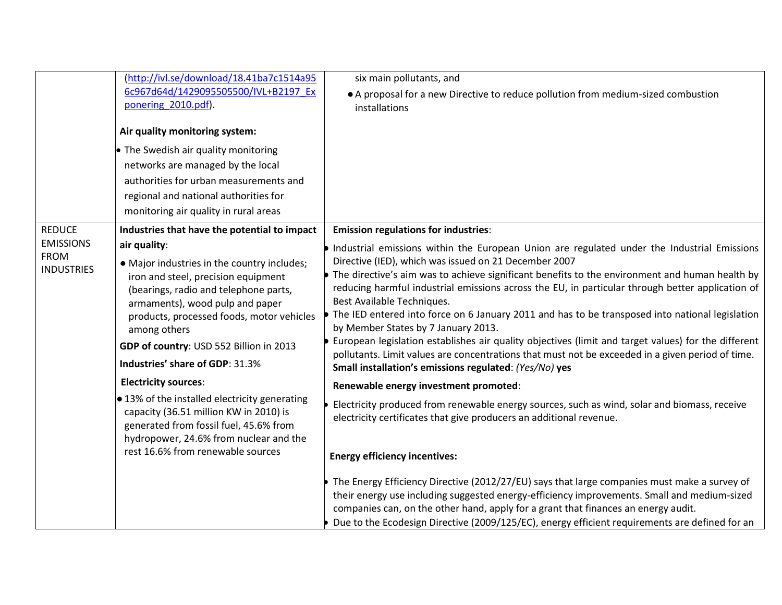|                   | (http://ivl.se/download/18.41ba7c1514a95                                                | six main pollutants, and                                                                                                                                                                    |
|-------------------|-----------------------------------------------------------------------------------------|---------------------------------------------------------------------------------------------------------------------------------------------------------------------------------------------|
|                   | 6c967d64d/1429095505500/IVL+B2197 Ex                                                    | • A proposal for a new Directive to reduce pollution from medium-sized combustion                                                                                                           |
|                   | ponering 2010.pdf).                                                                     | installations                                                                                                                                                                               |
|                   | Air quality monitoring system:                                                          |                                                                                                                                                                                             |
|                   | • The Swedish air quality monitoring                                                    |                                                                                                                                                                                             |
|                   | networks are managed by the local                                                       |                                                                                                                                                                                             |
|                   | authorities for urban measurements and                                                  |                                                                                                                                                                                             |
|                   | regional and national authorities for                                                   |                                                                                                                                                                                             |
|                   | monitoring air quality in rural areas                                                   |                                                                                                                                                                                             |
| <b>REDUCE</b>     | Industries that have the potential to impact                                            | <b>Emission regulations for industries:</b>                                                                                                                                                 |
| <b>EMISSIONS</b>  | air quality:                                                                            | Industrial emissions within the European Union are regulated under the Industrial Emissions                                                                                                 |
| <b>FROM</b>       | • Major industries in the country includes;                                             | Directive (IED), which was issued on 21 December 2007                                                                                                                                       |
| <b>INDUSTRIES</b> | iron and steel, precision equipment                                                     | The directive's aim was to achieve significant benefits to the environment and human health by                                                                                              |
|                   | (bearings, radio and telephone parts,                                                   | reducing harmful industrial emissions across the EU, in particular through better application of                                                                                            |
|                   | armaments), wood pulp and paper<br>products, processed foods, motor vehicles            | Best Available Techniques.<br>The IED entered into force on 6 January 2011 and has to be transposed into national legislation                                                               |
|                   | among others                                                                            | by Member States by 7 January 2013.                                                                                                                                                         |
|                   | GDP of country: USD 552 Billion in 2013                                                 | European legislation establishes air quality objectives (limit and target values) for the different                                                                                         |
|                   | Industries' share of GDP: 31.3%                                                         | pollutants. Limit values are concentrations that must not be exceeded in a given period of time.                                                                                            |
|                   |                                                                                         | Small installation's emissions regulated: (Yes/No) yes                                                                                                                                      |
|                   | <b>Electricity sources:</b>                                                             | Renewable energy investment promoted:                                                                                                                                                       |
|                   | • 13% of the installed electricity generating<br>capacity (36.51 million KW in 2010) is | Electricity produced from renewable energy sources, such as wind, solar and biomass, receive                                                                                                |
|                   | generated from fossil fuel, 45.6% from                                                  | electricity certificates that give producers an additional revenue.                                                                                                                         |
|                   | hydropower, 24.6% from nuclear and the                                                  |                                                                                                                                                                                             |
|                   | rest 16.6% from renewable sources                                                       | <b>Energy efficiency incentives:</b>                                                                                                                                                        |
|                   |                                                                                         |                                                                                                                                                                                             |
|                   |                                                                                         | The Energy Efficiency Directive (2012/27/EU) says that large companies must make a survey of<br>their energy use including suggested energy-efficiency improvements. Small and medium-sized |
|                   |                                                                                         | companies can, on the other hand, apply for a grant that finances an energy audit.                                                                                                          |
|                   |                                                                                         | Due to the Ecodesign Directive (2009/125/EC), energy efficient requirements are defined for an                                                                                              |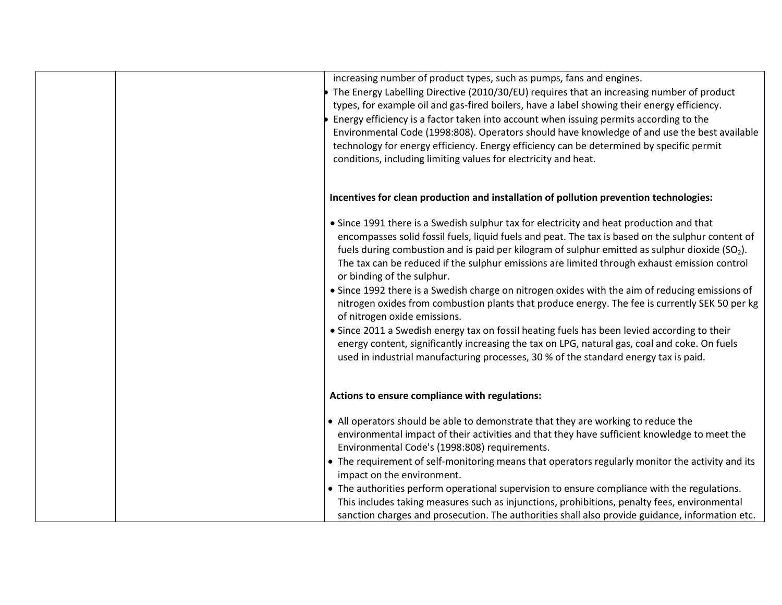| increasing number of product types, such as pumps, fans and engines.<br>The Energy Labelling Directive (2010/30/EU) requires that an increasing number of product<br>types, for example oil and gas-fired boilers, have a label showing their energy efficiency.<br>Energy efficiency is a factor taken into account when issuing permits according to the<br>Environmental Code (1998:808). Operators should have knowledge of and use the best available<br>technology for energy efficiency. Energy efficiency can be determined by specific permit<br>conditions, including limiting values for electricity and heat.                                                                                                                                                                                                                                                                                                                                      |
|----------------------------------------------------------------------------------------------------------------------------------------------------------------------------------------------------------------------------------------------------------------------------------------------------------------------------------------------------------------------------------------------------------------------------------------------------------------------------------------------------------------------------------------------------------------------------------------------------------------------------------------------------------------------------------------------------------------------------------------------------------------------------------------------------------------------------------------------------------------------------------------------------------------------------------------------------------------|
| Incentives for clean production and installation of pollution prevention technologies:                                                                                                                                                                                                                                                                                                                                                                                                                                                                                                                                                                                                                                                                                                                                                                                                                                                                         |
| • Since 1991 there is a Swedish sulphur tax for electricity and heat production and that<br>encompasses solid fossil fuels, liquid fuels and peat. The tax is based on the sulphur content of<br>fuels during combustion and is paid per kilogram of sulphur emitted as sulphur dioxide $(SO_2)$ .<br>The tax can be reduced if the sulphur emissions are limited through exhaust emission control<br>or binding of the sulphur.<br>• Since 1992 there is a Swedish charge on nitrogen oxides with the aim of reducing emissions of<br>nitrogen oxides from combustion plants that produce energy. The fee is currently SEK 50 per kg<br>of nitrogen oxide emissions.<br>• Since 2011 a Swedish energy tax on fossil heating fuels has been levied according to their<br>energy content, significantly increasing the tax on LPG, natural gas, coal and coke. On fuels<br>used in industrial manufacturing processes, 30 % of the standard energy tax is paid. |
| Actions to ensure compliance with regulations:                                                                                                                                                                                                                                                                                                                                                                                                                                                                                                                                                                                                                                                                                                                                                                                                                                                                                                                 |
| • All operators should be able to demonstrate that they are working to reduce the<br>environmental impact of their activities and that they have sufficient knowledge to meet the<br>Environmental Code's (1998:808) requirements.<br>• The requirement of self-monitoring means that operators regularly monitor the activity and its<br>impact on the environment.                                                                                                                                                                                                                                                                                                                                                                                                                                                                                                                                                                                           |
| • The authorities perform operational supervision to ensure compliance with the regulations.<br>This includes taking measures such as injunctions, prohibitions, penalty fees, environmental<br>sanction charges and prosecution. The authorities shall also provide guidance, information etc.                                                                                                                                                                                                                                                                                                                                                                                                                                                                                                                                                                                                                                                                |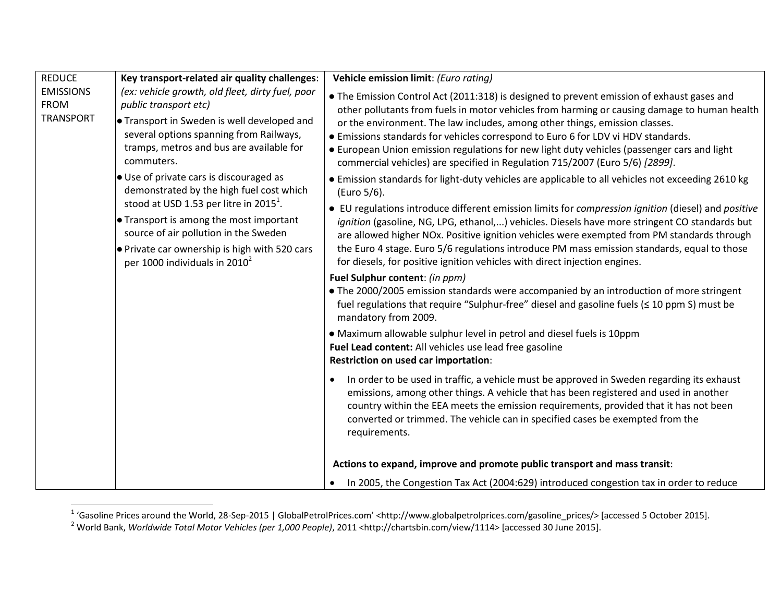| <b>REDUCE</b>                                       | Key transport-related air quality challenges:                                                                                                                                                                                      | Vehicle emission limit: (Euro rating)                                                                                                                                                                                                                                                                                                                                                                                                                                                                                                         |
|-----------------------------------------------------|------------------------------------------------------------------------------------------------------------------------------------------------------------------------------------------------------------------------------------|-----------------------------------------------------------------------------------------------------------------------------------------------------------------------------------------------------------------------------------------------------------------------------------------------------------------------------------------------------------------------------------------------------------------------------------------------------------------------------------------------------------------------------------------------|
| <b>EMISSIONS</b><br><b>FROM</b><br><b>TRANSPORT</b> | (ex: vehicle growth, old fleet, dirty fuel, poor<br>public transport etc)<br><b>Transport in Sweden is well developed and</b><br>several options spanning from Railways,<br>tramps, metros and bus are available for<br>commuters. | • The Emission Control Act (2011:318) is designed to prevent emission of exhaust gases and<br>other pollutants from fuels in motor vehicles from harming or causing damage to human health<br>or the environment. The law includes, among other things, emission classes.<br>• Emissions standards for vehicles correspond to Euro 6 for LDV vi HDV standards.<br>• European Union emission regulations for new light duty vehicles (passenger cars and light<br>commercial vehicles) are specified in Regulation 715/2007 (Euro 5/6) [2899]. |
|                                                     | $\bullet$ Use of private cars is discouraged as<br>demonstrated by the high fuel cost which<br>stood at USD 1.53 per litre in 2015 <sup>1</sup> .                                                                                  | • Emission standards for light-duty vehicles are applicable to all vehicles not exceeding 2610 kg<br>(Euro 5/6).                                                                                                                                                                                                                                                                                                                                                                                                                              |
|                                                     | $\bullet$ Transport is among the most important<br>source of air pollution in the Sweden<br>$\bullet$ Private car ownership is high with 520 cars                                                                                  | • EU regulations introduce different emission limits for compression ignition (diesel) and positive<br>ignition (gasoline, NG, LPG, ethanol,) vehicles. Diesels have more stringent CO standards but<br>are allowed higher NOx. Positive ignition vehicles were exempted from PM standards through<br>the Euro 4 stage. Euro 5/6 regulations introduce PM mass emission standards, equal to those                                                                                                                                             |
|                                                     | per 1000 individuals in 2010 <sup>2</sup>                                                                                                                                                                                          | for diesels, for positive ignition vehicles with direct injection engines.                                                                                                                                                                                                                                                                                                                                                                                                                                                                    |
|                                                     |                                                                                                                                                                                                                                    | Fuel Sulphur content: (in ppm)<br>• The 2000/2005 emission standards were accompanied by an introduction of more stringent<br>fuel regulations that require "Sulphur-free" diesel and gasoline fuels (≤ 10 ppm S) must be<br>mandatory from 2009.                                                                                                                                                                                                                                                                                             |
|                                                     |                                                                                                                                                                                                                                    | • Maximum allowable sulphur level in petrol and diesel fuels is 10ppm<br>Fuel Lead content: All vehicles use lead free gasoline<br>Restriction on used car importation:                                                                                                                                                                                                                                                                                                                                                                       |
|                                                     |                                                                                                                                                                                                                                    | In order to be used in traffic, a vehicle must be approved in Sweden regarding its exhaust<br>emissions, among other things. A vehicle that has been registered and used in another<br>country within the EEA meets the emission requirements, provided that it has not been<br>converted or trimmed. The vehicle can in specified cases be exempted from the<br>requirements.                                                                                                                                                                |
|                                                     |                                                                                                                                                                                                                                    | Actions to expand, improve and promote public transport and mass transit:                                                                                                                                                                                                                                                                                                                                                                                                                                                                     |
|                                                     |                                                                                                                                                                                                                                    | In 2005, the Congestion Tax Act (2004:629) introduced congestion tax in order to reduce                                                                                                                                                                                                                                                                                                                                                                                                                                                       |

 1 'Gasoline Prices around the World, 28-Sep-2015 | GlobalPetrolPrices.com' <http://www.globalpetrolprices.com/gasoline\_prices/> [accessed 5 October 2015].

<sup>2</sup> World Bank, *Worldwide Total Motor Vehicles (per 1,000 People)*, 2011 <http://chartsbin.com/view/1114> [accessed 30 June 2015].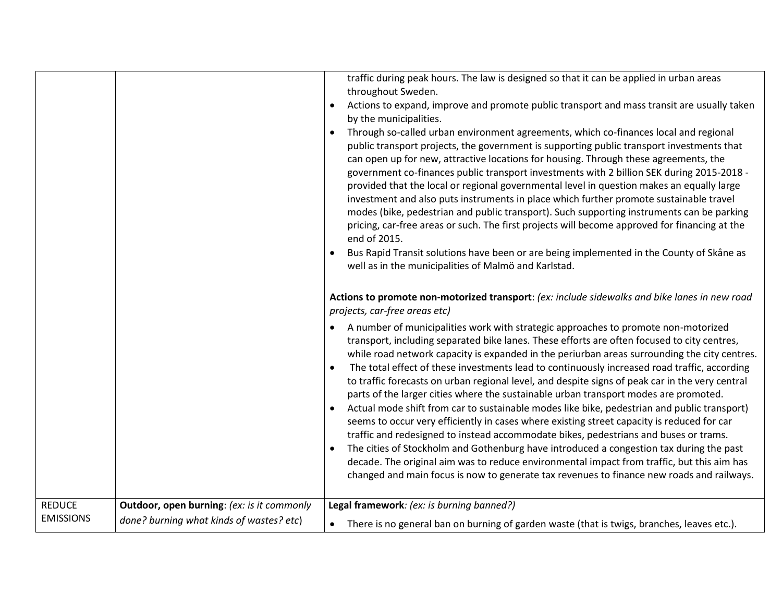|                                   |                                                   | traffic during peak hours. The law is designed so that it can be applied in urban areas<br>throughout Sweden.<br>Actions to expand, improve and promote public transport and mass transit are usually taken<br>by the municipalities.<br>Through so-called urban environment agreements, which co-finances local and regional<br>public transport projects, the government is supporting public transport investments that<br>can open up for new, attractive locations for housing. Through these agreements, the<br>government co-finances public transport investments with 2 billion SEK during 2015-2018 -<br>provided that the local or regional governmental level in question makes an equally large                                                                                                                                                                                                                                                                                                                                                                                                                                                         |
|-----------------------------------|---------------------------------------------------|----------------------------------------------------------------------------------------------------------------------------------------------------------------------------------------------------------------------------------------------------------------------------------------------------------------------------------------------------------------------------------------------------------------------------------------------------------------------------------------------------------------------------------------------------------------------------------------------------------------------------------------------------------------------------------------------------------------------------------------------------------------------------------------------------------------------------------------------------------------------------------------------------------------------------------------------------------------------------------------------------------------------------------------------------------------------------------------------------------------------------------------------------------------------|
|                                   |                                                   | investment and also puts instruments in place which further promote sustainable travel<br>modes (bike, pedestrian and public transport). Such supporting instruments can be parking<br>pricing, car-free areas or such. The first projects will become approved for financing at the<br>end of 2015.                                                                                                                                                                                                                                                                                                                                                                                                                                                                                                                                                                                                                                                                                                                                                                                                                                                                 |
|                                   |                                                   | Bus Rapid Transit solutions have been or are being implemented in the County of Skåne as<br>well as in the municipalities of Malmö and Karlstad.                                                                                                                                                                                                                                                                                                                                                                                                                                                                                                                                                                                                                                                                                                                                                                                                                                                                                                                                                                                                                     |
|                                   |                                                   | Actions to promote non-motorized transport: (ex: include sidewalks and bike lanes in new road<br>projects, car-free areas etc)                                                                                                                                                                                                                                                                                                                                                                                                                                                                                                                                                                                                                                                                                                                                                                                                                                                                                                                                                                                                                                       |
|                                   |                                                   | A number of municipalities work with strategic approaches to promote non-motorized<br>transport, including separated bike lanes. These efforts are often focused to city centres,<br>while road network capacity is expanded in the periurban areas surrounding the city centres.<br>The total effect of these investments lead to continuously increased road traffic, according<br>$\bullet$<br>to traffic forecasts on urban regional level, and despite signs of peak car in the very central<br>parts of the larger cities where the sustainable urban transport modes are promoted.<br>Actual mode shift from car to sustainable modes like bike, pedestrian and public transport)<br>seems to occur very efficiently in cases where existing street capacity is reduced for car<br>traffic and redesigned to instead accommodate bikes, pedestrians and buses or trams.<br>The cities of Stockholm and Gothenburg have introduced a congestion tax during the past<br>decade. The original aim was to reduce environmental impact from traffic, but this aim has<br>changed and main focus is now to generate tax revenues to finance new roads and railways. |
| <b>REDUCE</b><br><b>EMISSIONS</b> | <b>Outdoor, open burning: (ex: is it commonly</b> | Legal framework: (ex: is burning banned?)                                                                                                                                                                                                                                                                                                                                                                                                                                                                                                                                                                                                                                                                                                                                                                                                                                                                                                                                                                                                                                                                                                                            |
|                                   | done? burning what kinds of wastes? etc)          | There is no general ban on burning of garden waste (that is twigs, branches, leaves etc.).<br>$\bullet$                                                                                                                                                                                                                                                                                                                                                                                                                                                                                                                                                                                                                                                                                                                                                                                                                                                                                                                                                                                                                                                              |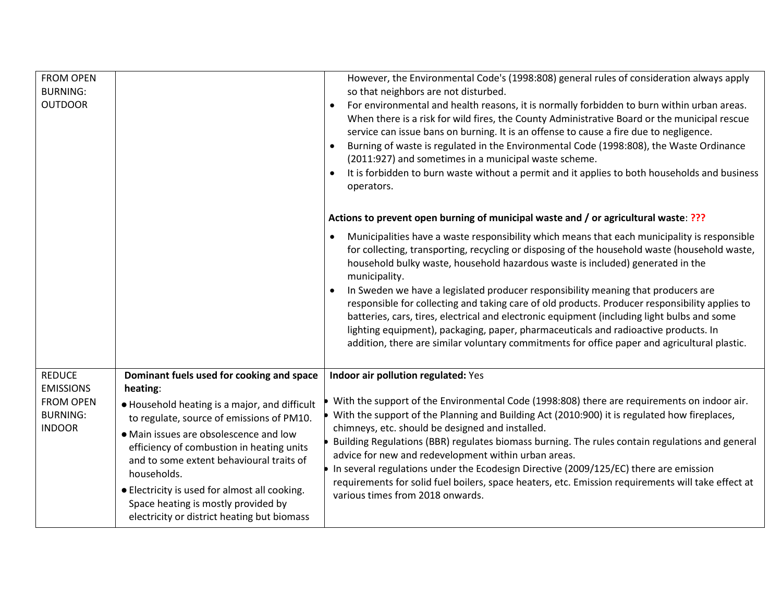| <b>FROM OPEN</b><br><b>BURNING:</b><br><b>OUTDOOR</b>                    |                                                                                                                                                                                                                                                                                                                                                                                                 | However, the Environmental Code's (1998:808) general rules of consideration always apply<br>so that neighbors are not disturbed.<br>For environmental and health reasons, it is normally forbidden to burn within urban areas.<br>When there is a risk for wild fires, the County Administrative Board or the municipal rescue<br>service can issue bans on burning. It is an offense to cause a fire due to negligence.<br>Burning of waste is regulated in the Environmental Code (1998:808), the Waste Ordinance<br>(2011:927) and sometimes in a municipal waste scheme.<br>It is forbidden to burn waste without a permit and it applies to both households and business<br>operators.                                                                                                |
|--------------------------------------------------------------------------|-------------------------------------------------------------------------------------------------------------------------------------------------------------------------------------------------------------------------------------------------------------------------------------------------------------------------------------------------------------------------------------------------|--------------------------------------------------------------------------------------------------------------------------------------------------------------------------------------------------------------------------------------------------------------------------------------------------------------------------------------------------------------------------------------------------------------------------------------------------------------------------------------------------------------------------------------------------------------------------------------------------------------------------------------------------------------------------------------------------------------------------------------------------------------------------------------------|
|                                                                          |                                                                                                                                                                                                                                                                                                                                                                                                 | Actions to prevent open burning of municipal waste and / or agricultural waste: ???                                                                                                                                                                                                                                                                                                                                                                                                                                                                                                                                                                                                                                                                                                        |
|                                                                          |                                                                                                                                                                                                                                                                                                                                                                                                 | Municipalities have a waste responsibility which means that each municipality is responsible<br>$\bullet$<br>for collecting, transporting, recycling or disposing of the household waste (household waste,<br>household bulky waste, household hazardous waste is included) generated in the<br>municipality.<br>In Sweden we have a legislated producer responsibility meaning that producers are<br>responsible for collecting and taking care of old products. Producer responsibility applies to<br>batteries, cars, tires, electrical and electronic equipment (including light bulbs and some<br>lighting equipment), packaging, paper, pharmaceuticals and radioactive products. In<br>addition, there are similar voluntary commitments for office paper and agricultural plastic. |
| <b>REDUCE</b>                                                            | Dominant fuels used for cooking and space                                                                                                                                                                                                                                                                                                                                                       | Indoor air pollution regulated: Yes                                                                                                                                                                                                                                                                                                                                                                                                                                                                                                                                                                                                                                                                                                                                                        |
| <b>EMISSIONS</b><br><b>FROM OPEN</b><br><b>BURNING:</b><br><b>INDOOR</b> | heating:<br>• Household heating is a major, and difficult<br>to regulate, source of emissions of PM10.<br>• Main issues are obsolescence and low<br>efficiency of combustion in heating units<br>and to some extent behavioural traits of<br>households.<br>• Electricity is used for almost all cooking.<br>Space heating is mostly provided by<br>electricity or district heating but biomass | With the support of the Environmental Code (1998:808) there are requirements on indoor air.<br>With the support of the Planning and Building Act (2010:900) it is regulated how fireplaces,<br>chimneys, etc. should be designed and installed.<br>Building Regulations (BBR) regulates biomass burning. The rules contain regulations and general<br>advice for new and redevelopment within urban areas.<br>In several regulations under the Ecodesign Directive (2009/125/EC) there are emission<br>requirements for solid fuel boilers, space heaters, etc. Emission requirements will take effect at<br>various times from 2018 onwards.                                                                                                                                              |